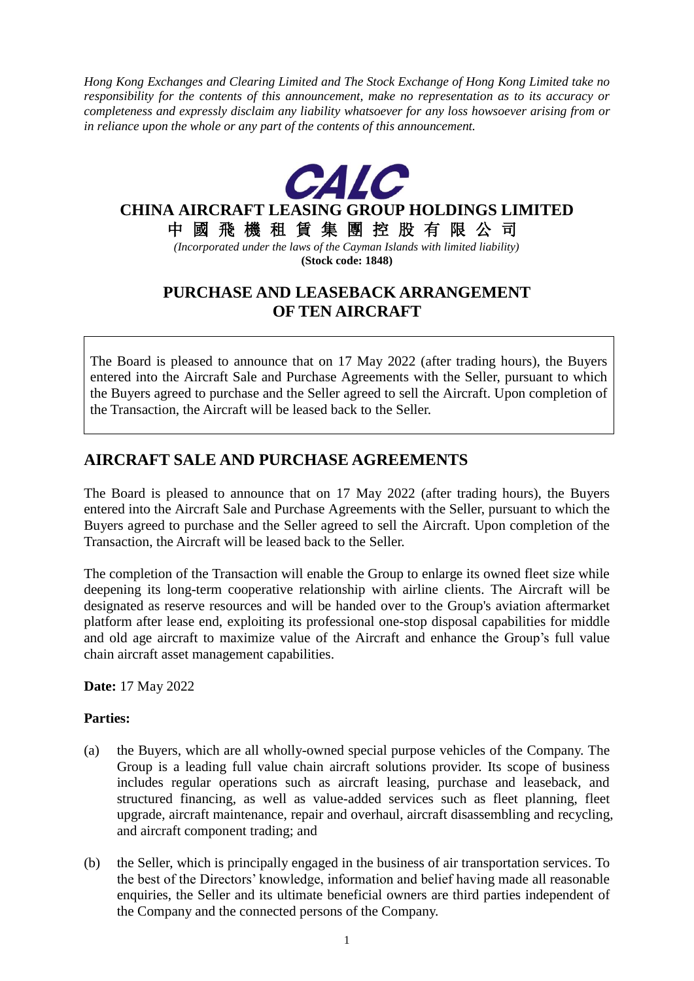*Hong Kong Exchanges and Clearing Limited and The Stock Exchange of Hong Kong Limited take no responsibility for the contents of this announcement, make no representation as to its accuracy or completeness and expressly disclaim any liability whatsoever for any loss howsoever arising from or in reliance upon the whole or any part of the contents of this announcement.*



## **PURCHASE AND LEASEBACK ARRANGEMENT OF TEN AIRCRAFT**

The Board is pleased to announce that on 17 May 2022 (after trading hours), the Buyers entered into the Aircraft Sale and Purchase Agreements with the Seller, pursuant to which the Buyers agreed to purchase and the Seller agreed to sell the Aircraft. Upon completion of the Transaction, the Aircraft will be leased back to the Seller.

# **AIRCRAFT SALE AND PURCHASE AGREEMENTS**

The Board is pleased to announce that on 17 May 2022 (after trading hours), the Buyers entered into the Aircraft Sale and Purchase Agreements with the Seller, pursuant to which the Buyers agreed to purchase and the Seller agreed to sell the Aircraft. Upon completion of the Transaction, the Aircraft will be leased back to the Seller.

The completion of the Transaction will enable the Group to enlarge its owned fleet size while deepening its long-term cooperative relationship with airline clients. The Aircraft will be designated as reserve resources and will be handed over to the Group's aviation aftermarket platform after lease end, exploiting its professional one-stop disposal capabilities for middle and old age aircraft to maximize value of the Aircraft and enhance the Group's full value chain aircraft asset management capabilities.

**Date:** 17 May 2022

### **Parties:**

- (a) the Buyers, which are all wholly-owned special purpose vehicles of the Company. The Group is a leading full value chain aircraft solutions provider. Its scope of business includes regular operations such as aircraft leasing, purchase and leaseback, and structured financing, as well as value-added services such as fleet planning, fleet upgrade, aircraft maintenance, repair and overhaul, aircraft disassembling and recycling, and aircraft component trading; and
- (b) the Seller, which is principally engaged in the business of air transportation services. To the best of the Directors' knowledge, information and belief having made all reasonable enquiries, the Seller and its ultimate beneficial owners are third parties independent of the Company and the connected persons of the Company.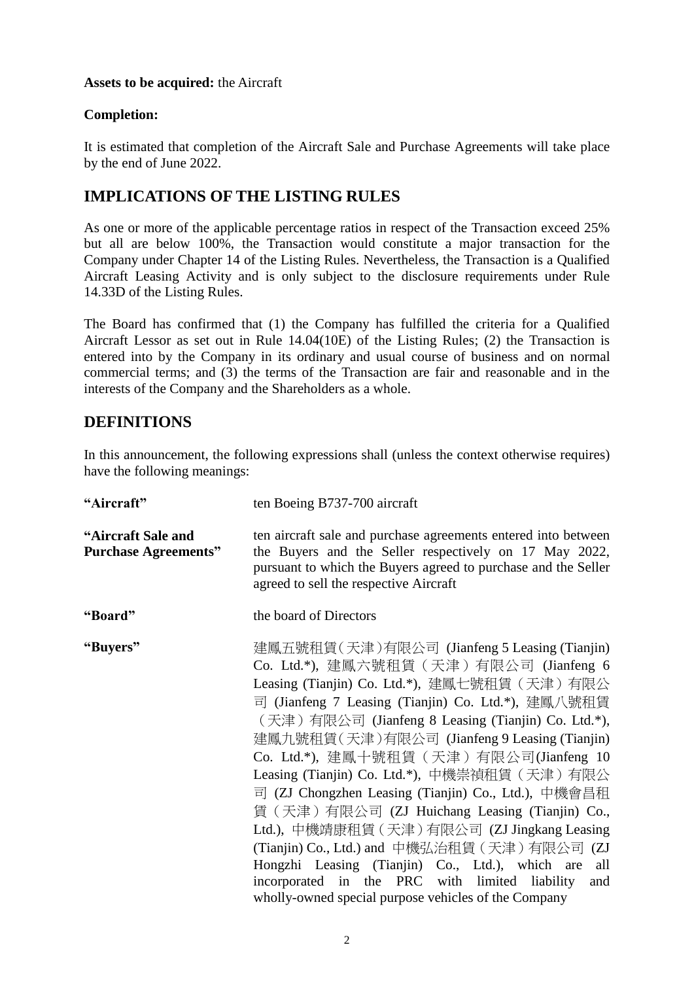#### **Assets to be acquired:** the Aircraft

### **Completion:**

It is estimated that completion of the Aircraft Sale and Purchase Agreements will take place by the end of June 2022.

## **IMPLICATIONS OF THE LISTING RULES**

As one or more of the applicable percentage ratios in respect of the Transaction exceed 25% but all are below 100%, the Transaction would constitute a major transaction for the Company under Chapter 14 of the Listing Rules. Nevertheless, the Transaction is a Qualified Aircraft Leasing Activity and is only subject to the disclosure requirements under Rule 14.33D of the Listing Rules.

The Board has confirmed that (1) the Company has fulfilled the criteria for a Qualified Aircraft Lessor as set out in Rule 14.04(10E) of the Listing Rules; (2) the Transaction is entered into by the Company in its ordinary and usual course of business and on normal commercial terms; and (3) the terms of the Transaction are fair and reasonable and in the interests of the Company and the Shareholders as a whole.

### **DEFINITIONS**

In this announcement, the following expressions shall (unless the context otherwise requires) have the following meanings:

| "Aircraft"                                        | ten Boeing B737-700 aircraft                                                                                                                                                                                                                                                                                                                                                                                                                                                                                                                                                                                                                                                                                                                                                              |
|---------------------------------------------------|-------------------------------------------------------------------------------------------------------------------------------------------------------------------------------------------------------------------------------------------------------------------------------------------------------------------------------------------------------------------------------------------------------------------------------------------------------------------------------------------------------------------------------------------------------------------------------------------------------------------------------------------------------------------------------------------------------------------------------------------------------------------------------------------|
| "Aircraft Sale and<br><b>Purchase Agreements"</b> | ten aircraft sale and purchase agreements entered into between<br>the Buyers and the Seller respectively on 17 May 2022,<br>pursuant to which the Buyers agreed to purchase and the Seller<br>agreed to sell the respective Aircraft                                                                                                                                                                                                                                                                                                                                                                                                                                                                                                                                                      |
| "Board"                                           | the board of Directors                                                                                                                                                                                                                                                                                                                                                                                                                                                                                                                                                                                                                                                                                                                                                                    |
| "Buyers"                                          | 建鳳五號租賃(天津)有限公司 (Jianfeng 5 Leasing (Tianjin)<br>Co. Ltd.*), 建鳳六號租賃 (天津) 有限公司 (Jianfeng 6<br>Leasing (Tianjin) Co. Ltd.*), 建鳳七號租賃 (天津) 有限公<br>司 (Jianfeng 7 Leasing (Tianjin) Co. Ltd.*), 建鳳八號租賃<br>(天津) 有限公司 (Jianfeng 8 Leasing (Tianjin) Co. Ltd.*),<br>建鳳九號租賃(天津)有限公司 (Jianfeng 9 Leasing (Tianjin)<br>Co. Ltd.*), 建鳳十號租賃 (天津) 有限公司(Jianfeng 10<br>Leasing (Tianjin) Co. Ltd.*), 中機崇禎租賃 (天津) 有限公<br>司 (ZJ Chongzhen Leasing (Tianjin) Co., Ltd.), 中機會昌租<br>賃 (天津) 有限公司 (ZJ Huichang Leasing (Tianjin) Co.,<br>Ltd.), 中機靖康租賃 (天津) 有限公司 (ZJ Jingkang Leasing<br>(Tianjin) Co., Ltd.) and 中機弘治租賃 (天津) 有限公司 (ZJ<br>Hongzhi Leasing (Tianjin) Co., Ltd.), which are<br>all<br>incorporated in the PRC with limited liability<br>and<br>wholly-owned special purpose vehicles of the Company |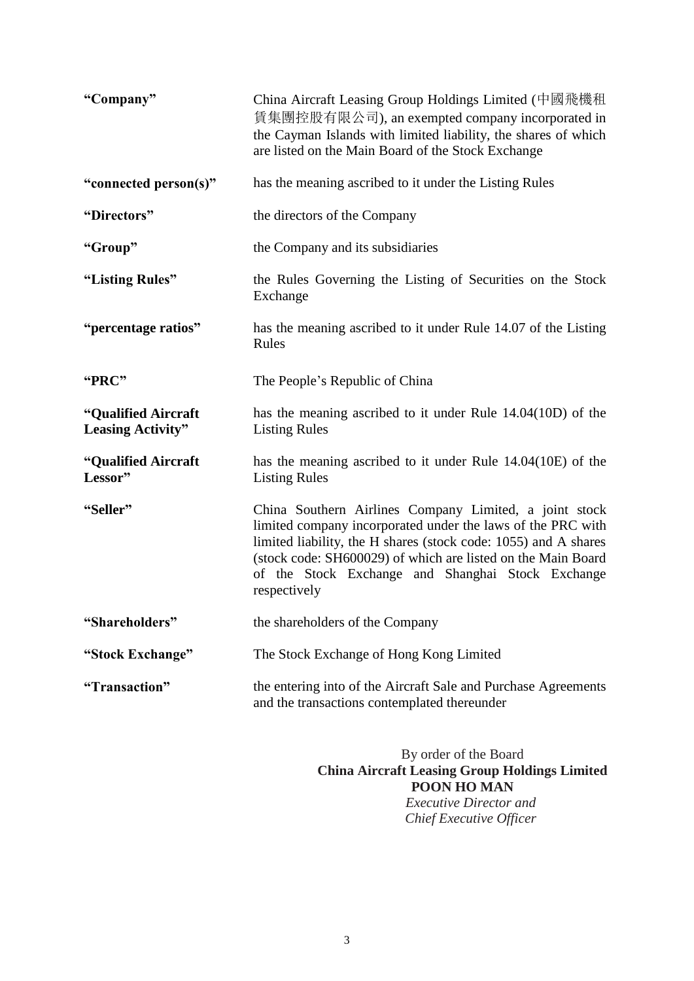| "Company"                                       | China Aircraft Leasing Group Holdings Limited (中國飛機租<br>賃集團控股有限公司), an exempted company incorporated in<br>the Cayman Islands with limited liability, the shares of which<br>are listed on the Main Board of the Stock Exchange                                                                                               |
|-------------------------------------------------|-------------------------------------------------------------------------------------------------------------------------------------------------------------------------------------------------------------------------------------------------------------------------------------------------------------------------------|
| "connected person(s)"                           | has the meaning ascribed to it under the Listing Rules                                                                                                                                                                                                                                                                        |
| "Directors"                                     | the directors of the Company                                                                                                                                                                                                                                                                                                  |
| "Group"                                         | the Company and its subsidiaries                                                                                                                                                                                                                                                                                              |
| "Listing Rules"                                 | the Rules Governing the Listing of Securities on the Stock<br>Exchange                                                                                                                                                                                                                                                        |
| "percentage ratios"                             | has the meaning ascribed to it under Rule 14.07 of the Listing<br>Rules                                                                                                                                                                                                                                                       |
| "PRC"                                           | The People's Republic of China                                                                                                                                                                                                                                                                                                |
| "Qualified Aircraft<br><b>Leasing Activity"</b> | has the meaning ascribed to it under Rule $14.04(10D)$ of the<br><b>Listing Rules</b>                                                                                                                                                                                                                                         |
| "Qualified Aircraft<br>Lessor"                  | has the meaning ascribed to it under Rule $14.04(10E)$ of the<br><b>Listing Rules</b>                                                                                                                                                                                                                                         |
| "Seller"                                        | China Southern Airlines Company Limited, a joint stock<br>limited company incorporated under the laws of the PRC with<br>limited liability, the H shares (stock code: 1055) and A shares<br>(stock code: SH600029) of which are listed on the Main Board<br>of the Stock Exchange and Shanghai Stock Exchange<br>respectively |
| "Shareholders"                                  | the shareholders of the Company                                                                                                                                                                                                                                                                                               |
| "Stock Exchange"                                | The Stock Exchange of Hong Kong Limited                                                                                                                                                                                                                                                                                       |
| "Transaction"                                   | the entering into of the Aircraft Sale and Purchase Agreements<br>and the transactions contemplated thereunder                                                                                                                                                                                                                |

By order of the Board **China Aircraft Leasing Group Holdings Limited POON HO MAN** *Executive Director and Chief Executive Officer*